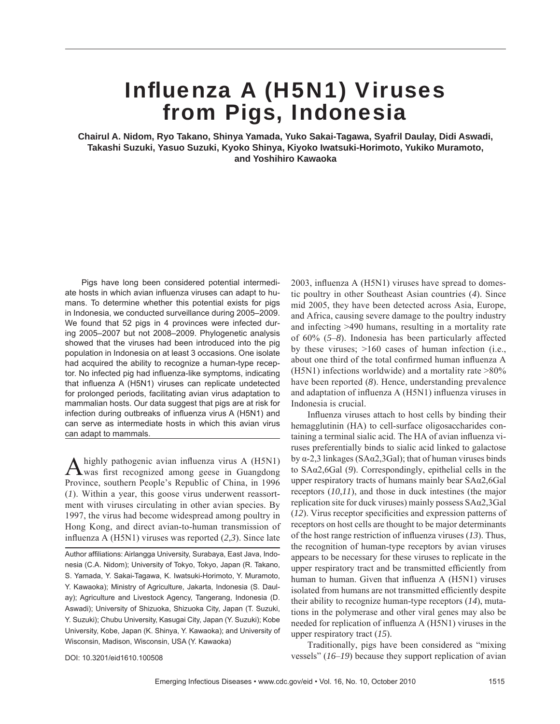# Influenza A (H5N1) Viruses from Pigs, Indonesia

**Chairul A. Nidom, Ryo Takano, Shinya Yamada, Yuko Sakai-Tagawa, Syafril Daulay, Didi Aswadi, Takashi Suzuki, Yasuo Suzuki, Kyoko Shinya, Kiyoko Iwatsuki-Horimoto, Yukiko Muramoto, and Yoshihiro Kawaoka**

Pigs have long been considered potential intermediate hosts in which avian influenza viruses can adapt to humans. To determine whether this potential exists for pigs in Indonesia, we conducted surveillance during 2005–2009. We found that 52 pigs in 4 provinces were infected during 2005–2007 but not 2008–2009. Phylogenetic analysis showed that the viruses had been introduced into the pig population in Indonesia on at least 3 occasions. One isolate had acquired the ability to recognize a human-type receptor. No infected pig had influenza-like symptoms, indicating that influenza A (H5N1) viruses can replicate undetected for prolonged periods, facilitating avian virus adaptation to mammalian hosts. Our data suggest that pigs are at risk for infection during outbreaks of influenza virus A (H5N1) and can serve as intermediate hosts in which this avian virus can adapt to mammals.

A highly pathogenic avian influenza virus A (H5N1)<br>was first recognized among geese in Guangdong Province, southern People's Republic of China, in 1996 (*1*). Within a year, this goose virus underwent reassortment with viruses circulating in other avian species. By 1997, the virus had become widespread among poultry in Hong Kong, and direct avian-to-human transmission of influenza A ( $H5N1$ ) viruses was reported  $(2,3)$ . Since late

Author affiliations: Airlangga University, Surabaya, East Java, Indonesia (C.A. Nidom); University of Tokyo, Tokyo, Japan (R. Takano, S. Yamada, Y. Sakai-Tagawa, K. Iwatsuki-Horimoto, Y. Muramoto, Y. Kawaoka); Ministry of Agriculture, Jakarta, Indonesia (S. Daulay); Agriculture and Livestock Agency, Tangerang, Indonesia (D. Aswadi); University of Shizuoka, Shizuoka City, Japan (T. Suzuki, Y. Suzuki); Chubu University, Kasugai City, Japan (Y. Suzuki); Kobe University, Kobe, Japan (K. Shinya, Y. Kawaoka); and University of Wisconsin, Madison, Wisconsin, USA (Y. Kawaoka)

2003, influenza A (H5N1) viruses have spread to domestic poultry in other Southeast Asian countries (*4*). Since mid 2005, they have been detected across Asia, Europe, and Africa, causing severe damage to the poultry industry and infecting >490 humans, resulting in a mortality rate of 60% (*5*–*8*). Indonesia has been particularly affected by these viruses; >160 cases of human infection (i.e., about one third of the total confirmed human influenza A (H5N1) infections worldwide) and a mortality rate  $>80\%$ have been reported (8). Hence, understanding prevalence and adaptation of influenza  $A$  (H5N1) influenza viruses in Indonesia is crucial.

Influenza viruses attach to host cells by binding their hemagglutinin (HA) to cell-surface oligosaccharides containing a terminal sialic acid. The HA of avian influenza viruses preferentially binds to sialic acid linked to galactose by α-2,3 linkages (SAα2,3Gal); that of human viruses binds to SAα2,6Gal (*9*). Correspondingly, epithelial cells in the upper respiratory tracts of humans mainly bear  $SA\alpha/2.6Gal$ receptors (*10*,*11*), and those in duck intestines (the major replication site for duck viruses) mainly possess SAα2,3Gal (12). Virus receptor specificities and expression patterns of receptors on host cells are thought to be major determinants of the host range restriction of infl uenza viruses (*13*). Thus, the recognition of human-type receptors by avian viruses appears to be necessary for these viruses to replicate in the upper respiratory tract and be transmitted efficiently from human to human. Given that influenza A (H5N1) viruses isolated from humans are not transmitted efficiently despite their ability to recognize human-type receptors (*14*), mutations in the polymerase and other viral genes may also be needed for replication of influenza A (H5N1) viruses in the upper respiratory tract (*15*).

Traditionally, pigs have been considered as "mixing vessels" (*16*–*19*) because they support replication of avian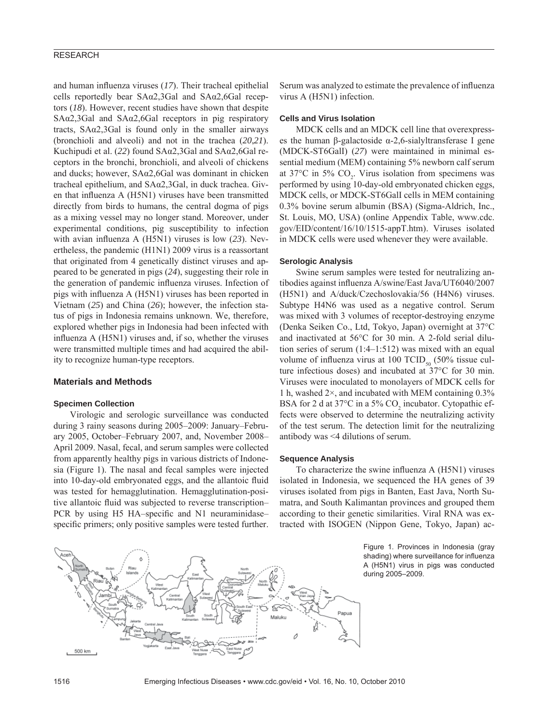and human influenza viruses (17). Their tracheal epithelial cells reportedly bear SAα2,3Gal and SAα2,6Gal receptors (*18*). However, recent studies have shown that despite SAα2,3Gal and SAα2,6Gal receptors in pig respiratory tracts, SAα2,3Gal is found only in the smaller airways (bronchioli and alveoli) and not in the trachea (*20*,*21*). Kuchipudi et al. (*22*) found SAα2,3Gal and SAα2,6Gal receptors in the bronchi, bronchioli, and alveoli of chickens and ducks; however, SAα2,6Gal was dominant in chicken tracheal epithelium, and SAα2,3Gal, in duck trachea. Given that influenza A (H5N1) viruses have been transmitted directly from birds to humans, the central dogma of pigs as a mixing vessel may no longer stand. Moreover, under experimental conditions, pig susceptibility to infection with avian influenza A (H5N1) viruses is low (23). Nevertheless, the pandemic (H1N1) 2009 virus is a reassortant that originated from 4 genetically distinct viruses and appeared to be generated in pigs (*24*), suggesting their role in the generation of pandemic influenza viruses. Infection of pigs with influenza A (H5N1) viruses has been reported in Vietnam (*25*) and China (*26*); however, the infection status of pigs in Indonesia remains unknown. We, therefore, explored whether pigs in Indonesia had been infected with influenza A (H5N1) viruses and, if so, whether the viruses were transmitted multiple times and had acquired the ability to recognize human-type receptors.

## **Materials and Methods**

#### **Specimen Collection**

Virologic and serologic surveillance was conducted during 3 rainy seasons during 2005–2009: January–February 2005, October–February 2007, and, November 2008– April 2009. Nasal, fecal, and serum samples were collected from apparently healthy pigs in various districts of Indonesia (Figure 1). The nasal and fecal samples were injected into 10-day-old embryonated eggs, and the allantoic fluid was tested for hemagglutination. Hemagglutination-positive allantoic fluid was subjected to reverse transcription-PCR by using H5 HA–specific and N1 neuraminidase– specific primers; only positive samples were tested further. Serum was analyzed to estimate the prevalence of influenza virus A (H5N1) infection.

#### **Cells and Virus Isolation**

MDCK cells and an MDCK cell line that overexpresses the human β-galactoside α-2,6-sialyltransferase I gene (MDCK-ST6GalI) (*27*) were maintained in minimal essential medium (MEM) containing 5% newborn calf serum at 37°C in 5%  $CO<sub>2</sub>$ . Virus isolation from specimens was performed by using 10-day-old embryonated chicken eggs, MDCK cells, or MDCK-ST6GalI cells in MEM containing 0.3% bovine serum albumin (BSA) (Sigma-Aldrich, Inc., St. Louis, MO, USA) (online Appendix Table, www.cdc. gov/EID/content/16/10/1515-appT.htm). Viruses isolated in MDCK cells were used whenever they were available.

#### **Serologic Analysis**

Swine serum samples were tested for neutralizing antibodies against influenza A/swine/East Java/UT6040/2007 (H5N1) and A/duck/Czechoslovakia/56 (H4N6) viruses. Subtype H4N6 was used as a negative control. Serum was mixed with 3 volumes of receptor-destroying enzyme (Denka Seiken Co., Ltd, Tokyo, Japan) overnight at 37°C and inactivated at 56°C for 30 min. A 2-fold serial dilution series of serum (1:4–1:512) was mixed with an equal volume of influenza virus at 100 TCID $_{50}$  (50% tissue culture infectious doses) and incubated at 37°C for 30 min. Viruses were inoculated to monolayers of MDCK cells for 1 h, washed 2×, and incubated with MEM containing 0.3% BSA for 2 d at 37 $^{\circ}$ C in a 5% CO<sub>2</sub> incubator. Cytopathic effects were observed to determine the neutralizing activity of the test serum. The detection limit for the neutralizing antibody was <4 dilutions of serum.

#### **Sequence Analysis**

To characterize the swine influenza A (H5N1) viruses isolated in Indonesia, we sequenced the HA genes of 39 viruses isolated from pigs in Banten, East Java, North Sumatra, and South Kalimantan provinces and grouped them according to their genetic similarities. Viral RNA was extracted with ISOGEN (Nippon Gene, Tokyo, Japan) ac-

> Figure 1. Provinces in Indonesia (gray shading) where surveillance for influenza A (H5N1) virus in pigs was conducted during 2005–2009.



1516 Emerging Infectious Diseases • www.cdc.gov/eid • Vol. 16, No. 10, October 2010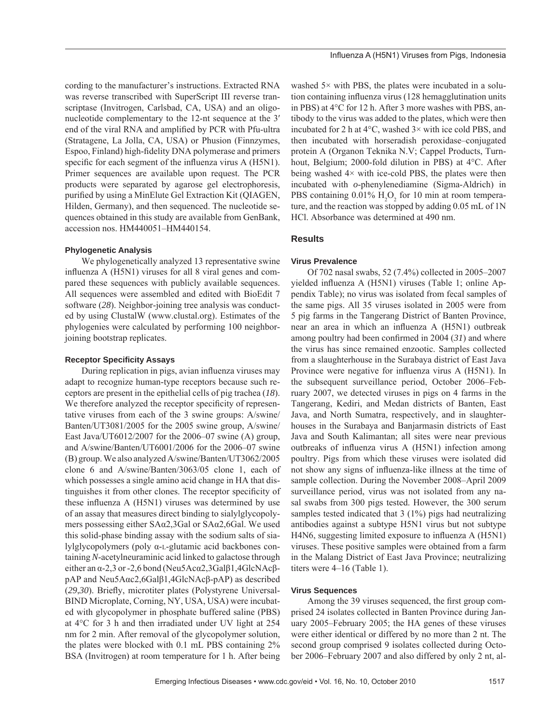cording to the manufacturer's instructions. Extracted RNA was reverse transcribed with SuperScript III reverse transcriptase (Invitrogen, Carlsbad, CA, USA) and an oligonucleotide complementary to the 12-nt sequence at the 3′ end of the viral RNA and amplified by PCR with Pfu-ultra (Stratagene, La Jolla, CA, USA) or Phusion (Finnzymes, Espoo, Finland) high-fidelity DNA polymerase and primers specific for each segment of the influenza virus A (H5N1). Primer sequences are available upon request. The PCR products were separated by agarose gel electrophoresis, purified by using a MinElute Gel Extraction Kit (QIAGEN, Hilden, Germany), and then sequenced. The nucleotide sequences obtained in this study are available from GenBank, accession nos. HM440051–HM440154.

## **Phylogenetic Analysis**

We phylogenetically analyzed 13 representative swine influenza A (H5N1) viruses for all 8 viral genes and compared these sequences with publicly available sequences. All sequences were assembled and edited with BioEdit 7 software (*28*). Neighbor-joining tree analysis was conducted by using ClustalW (www.clustal.org). Estimates of the phylogenies were calculated by performing 100 neighborjoining bootstrap replicates.

## **Receptor Specificity Assays**

During replication in pigs, avian influenza viruses may adapt to recognize human-type receptors because such receptors are present in the epithelial cells of pig trachea (*18*). We therefore analyzed the receptor specificity of representative viruses from each of the 3 swine groups: A/swine/ Banten/UT3081/2005 for the 2005 swine group, A/swine/ East Java/UT6012/2007 for the  $2006-07$  swine (A) group, and A/swine/Banten/UT6001/2006 for the 2006–07 swine (B) group. We also analyzed A/swine/Banten/UT3062/2005 clone 6 and A/swine/Banten/3063/05 clone 1, each of which possesses a single amino acid change in HA that distinguishes it from other clones. The receptor specificity of these influenza A (H5N1) viruses was determined by use of an assay that measures direct binding to sialylglycopolymers possessing either SAα2,3Gal or SAα2,6Gal. We used this solid-phase binding assay with the sodium salts of sialylglycopolymers (poly α-L-glutamic acid backbones containing *N*-acetylneuraminic acid linked to galactose through either an α-2,3 or -2,6 bond (Neu5Acα2,3Galβ1,4GlcNAcβpAP and Neu5Aαc2,6Galβ1,4GlcNAcβ-pAP) as described (29,30). Briefly, microtiter plates (Polystyrene Universal-BIND Microplate, Corning, NY, USA, USA) were incubated with glycopolymer in phosphate buffered saline (PBS) at 4°C for 3 h and then irradiated under UV light at 254 nm for 2 min. After removal of the glycopolymer solution, the plates were blocked with 0.1 mL PBS containing 2% BSA (Invitrogen) at room temperature for 1 h. After being

washed  $5\times$  with PBS, the plates were incubated in a solution containing influenza virus (128 hemagglutination units in PBS) at 4°C for 12 h. After 3 more washes with PBS, antibody to the virus was added to the plates, which were then incubated for 2 h at  $4^{\circ}$ C, washed  $3 \times$  with ice cold PBS, and then incubated with horseradish peroxidase–conjugated protein A (Organon Teknika N.V; Cappel Products, Turnhout, Belgium; 2000-fold dilution in PBS) at 4°C. After being washed  $4\times$  with ice-cold PBS, the plates were then incubated with *o*-phenylenediamine (Sigma-Aldrich) in PBS containing  $0.01\%$  H<sub>2</sub>O<sub>2</sub> for 10 min at room temperature, and the reaction was stopped by adding 0.05 mL of 1N HCl. Absorbance was determined at 490 nm.

# **Results**

## **Virus Prevalence**

Of 702 nasal swabs, 52 (7.4%) collected in 2005–2007 yielded influenza A (H5N1) viruses (Table 1; online Appendix Table); no virus was isolated from fecal samples of the same pigs. All 35 viruses isolated in 2005 were from 5 pig farms in the Tangerang District of Banten Province, near an area in which an influenza A (H5N1) outbreak among poultry had been confirmed in 2004 (31) and where the virus has since remained enzootic. Samples collected from a slaughterhouse in the Surabaya district of East Java Province were negative for influenza virus A (H5N1). In the subsequent surveillance period, October 2006–February 2007, we detected viruses in pigs on 4 farms in the Tangerang, Kediri, and Medan districts of Banten, East Java, and North Sumatra, respectively, and in slaughterhouses in the Surabaya and Banjarmasin districts of East Java and South Kalimantan; all sites were near previous outbreaks of influenza virus A (H5N1) infection among poultry. Pigs from which these viruses were isolated did not show any signs of influenza-like illness at the time of sample collection. During the November 2008–April 2009 surveillance period, virus was not isolated from any nasal swabs from 300 pigs tested. However, the 300 serum samples tested indicated that 3 (1%) pigs had neutralizing antibodies against a subtype H5N1 virus but not subtype H4N6, suggesting limited exposure to influenza A (H5N1) viruses. These positive samples were obtained from a farm in the Malang District of East Java Province; neutralizing titers were 4–16 (Table 1).

# **Virus Sequences**

Among the 39 viruses sequenced, the first group comprised 24 isolates collected in Banten Province during January 2005–February 2005; the HA genes of these viruses were either identical or differed by no more than 2 nt. The second group comprised 9 isolates collected during October 2006–February 2007 and also differed by only 2 nt, al-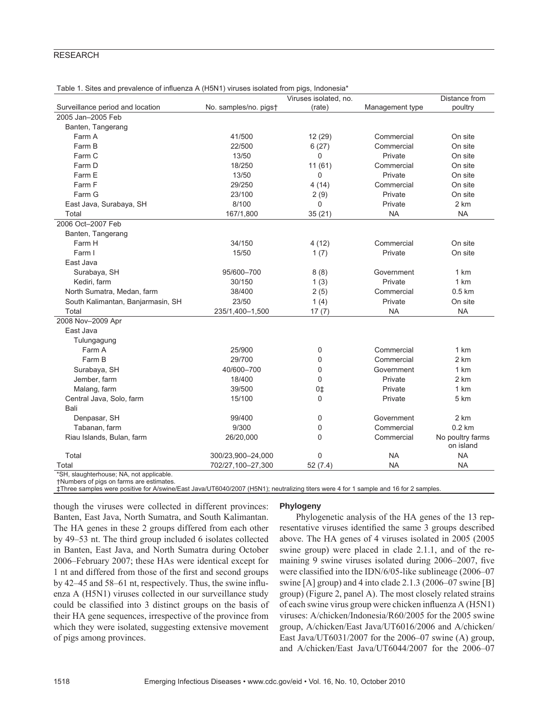## RESEARCH

#### Surveillance period and location No. samples/no. pigst Viruses isolated, no. (rate) Management type Distance from poultry 2005 Jan–2005 Feb Banten, Tangerang Farm A **41/500** 12 (29) Commercial On site Farm B 22/500 6 (27) Commercial Consite Farm C 13/50 0 Private On site Farm D 18/250 11 (61) Commercial Consite Farm E 13/50 0 Private On site Farm F 29/250 4 (14) Commercial Consite Farm G 23/100 2 (9) Private On site East Java, Surabaya, SH **8/100 0** Private 2 km Total 167/1,800 35 (21) NA NA 2006 Oct–2007 Feb Banten, Tangerang Farm H 34/150 4 (12) Commercial On site Farm I 15/50 15/50 15/50 11(7) Private On site East Java Surabaya, SH 600 1 (95/600–700 1 (95/600–700 1 (95/600–700 1 Km Kediri, farm 1 (3) Register and the settlement of the settlement of the settlement of the settlement of the 1 km North Sumatra, Medan, farm  $38/400$  2 (5) Commercial 0.5 km South Kalimantan, Banjarmasin, SH 23/50 1 (4) Private On site Total 235/1,400–1,500 17 (7) NA NA 2008 Nov–2009 Apr East Java **Tulungagung** Farm A 25/900 0 Commercial 1 km Farm B 29/700 0 Commercial 2 km Surabaya, SH 40/600–700 0 Government 1 km Jember, farm 18/400 0 Private 2 km Malang, farm 39/500 0‡ Private 1 km Central Java, Solo, farm **15/100** 0 Private 5 km Bali

Table 1. Sites and prevalence of influenza A (H5N1) viruses isolated from pigs, Indonesia\*

\*SH, slaughterhouse; NA, not applicable.

†Numbers of pigs on farms are estimates.

‡Three samples were positive for A/swine/East Java/UT6040/2007 (H5N1); neutralizing titers were 4 for 1 sample and 16 for 2 samples.

Denpasar, SH 88 March 2 km 99/400 10 March 2 km 99/400 10 Government 2 km Tabanan, farm 9/300 0 Commercial 0.2 km Riau Islands, Bulan, farm **26/20,000** 0 Commercial No poultry farms

 Total 300/23,900–24,000 0 NA NA Total 702/27,100–27,300 52 (7.4) NA NA

though the viruses were collected in different provinces: Banten, East Java, North Sumatra, and South Kalimantan. The HA genes in these 2 groups differed from each other by 49–53 nt. The third group included 6 isolates collected in Banten, East Java, and North Sumatra during October 2006–February 2007; these HAs were identical except for 1 nt and differed from those of the first and second groups by  $42-45$  and  $58-61$  nt, respectively. Thus, the swine influenza A (H5N1) viruses collected in our surveillance study could be classified into 3 distinct groups on the basis of their HA gene sequences, irrespective of the province from which they were isolated, suggesting extensive movement of pigs among provinces.

## **Phylogeny**

Phylogenetic analysis of the HA genes of the 13 representative viruses identified the same 3 groups described above. The HA genes of 4 viruses isolated in 2005 (2005 swine group) were placed in clade 2.1.1, and of the remaining 9 swine viruses isolated during 2006–2007, five were classified into the IDN/ $6/05$ -like sublineage (2006–07) swine [A] group) and 4 into clade 2.1.3 (2006–07 swine [B] group) (Figure 2, panel A). The most closely related strains of each swine virus group were chicken influenza A (H5N1) viruses: A/chicken/Indonesia/R60/2005 for the 2005 swine group, A/chicken/East Java/UT6016/2006 and A/chicken/ East Java/UT6031/2007 for the  $2006-07$  swine (A) group, and A/chicken/East Java/UT6044/2007 for the 2006–07

on island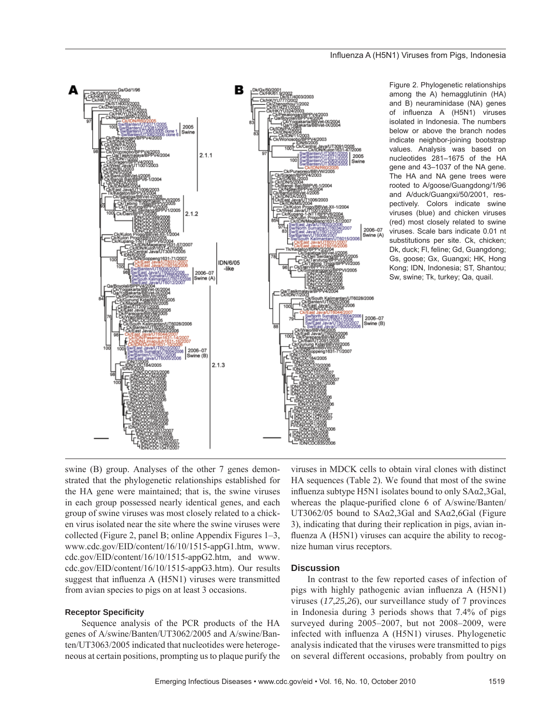

Figure 2. Phylogenetic relationships among the A) hemagglutinin (HA) and B) neuraminidase (NA) genes of influenza A (H5N1) viruses isolated in Indonesia. The numbers below or above the branch nodes indicate neighbor-joining bootstrap values. Analysis was based on nucleotides 281–1675 of the HA gene and 43–1037 of the NA gene. The HA and NA gene trees were rooted to A/goose/Guangdong/1/96 and A/duck/Guangxi/50/2001, respectively. Colors indicate swine viruses (blue) and chicken viruses (red) most closely related to swine viruses. Scale bars indicate 0.01 nt substitutions per site. Ck, chicken; Dk, duck; Fl, feline; Gd, Guangdong; Gs, goose; Gx, Guangxi; HK, Hong Kong; IDN, Indonesia; ST, Shantou; Sw, swine; Tk, turkey; Qa, quail.

swine (B) group. Analyses of the other 7 genes demonstrated that the phylogenetic relationships established for the HA gene were maintained; that is, the swine viruses in each group possessed nearly identical genes, and each group of swine viruses was most closely related to a chicken virus isolated near the site where the swine viruses were collected (Figure 2, panel B; online Appendix Figures 1–3, www.cdc.gov/EID/content/16/10/1515-appG1.htm, www. cdc.gov/EID/content/16/10/1515-appG2.htm, and www. cdc.gov/EID/content/16/10/1515-appG3.htm). Our results suggest that influenza  $A$  (H5N1) viruses were transmitted from avian species to pigs on at least 3 occasions.

### **Receptor Specificity**

Sequence analysis of the PCR products of the HA genes of A/swine/Banten/UT3062/2005 and A/swine/Banten/UT3063/2005 indicated that nucleotides were heterogeneous at certain positions, prompting us to plaque purify the viruses in MDCK cells to obtain viral clones with distinct HA sequences (Table 2). We found that most of the swine influenza subtype H5N1 isolates bound to only  $SA\alpha2,3Gal$ , whereas the plaque-purified clone 6 of A/swine/Banten/ UT3062/05 bound to SAα2,3Gal and SAα2,6Gal (Figure 3), indicating that during their replication in pigs, avian influenza A (H5N1) viruses can acquire the ability to recognize human virus receptors.

## **Discussion**

In contrast to the few reported cases of infection of pigs with highly pathogenic avian influenza  $A$  (H5N1) viruses (*17*,*25*,*26*), our surveillance study of 7 provinces in Indonesia during 3 periods shows that 7.4% of pigs surveyed during 2005–2007, but not 2008–2009, were infected with influenza A (H5N1) viruses. Phylogenetic analysis indicated that the viruses were transmitted to pigs on several different occasions, probably from poultry on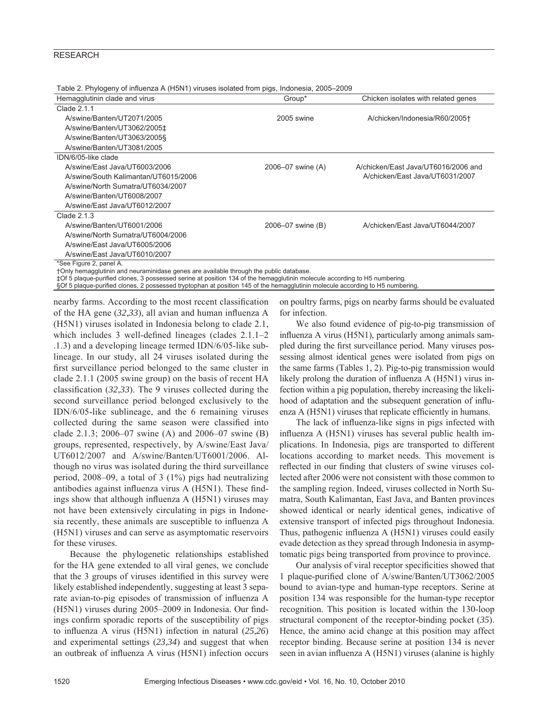## RESEARCH

Table 2. Phylogeny of influenza A (H5N1) viruses isolated from pigs, Indonesia, 2005–2009

| Hemagglutinin clade and virus                                                                                       | Group*            | Chicken isolates with related genes |
|---------------------------------------------------------------------------------------------------------------------|-------------------|-------------------------------------|
| Clade 2.1.1                                                                                                         |                   |                                     |
| A/swine/Banten/UT2071/2005                                                                                          | 2005 swine        | A/chicken/Indonesia/R60/2005+       |
| A/swine/Banten/UT3062/2005‡                                                                                         |                   |                                     |
| A/swine/Banten/UT3063/2005§                                                                                         |                   |                                     |
| A/swine/Banten/UT3081/2005                                                                                          |                   |                                     |
| IDN/6/05-like clade                                                                                                 |                   |                                     |
| A/swine/East Java/UT6003/2006                                                                                       | 2006–07 swine (A) | A/chicken/East Java/UT6016/2006 and |
| A/swine/South Kalimantan/UT6015/2006                                                                                |                   | A/chicken/East Java/UT6031/2007     |
| A/swine/North Sumatra/UT6034/2007                                                                                   |                   |                                     |
| A/swine/Banten/UT6008/2007                                                                                          |                   |                                     |
| A/swine/East Java/UT6012/2007                                                                                       |                   |                                     |
| Clade 2.1.3                                                                                                         |                   |                                     |
| A/swine/Banten/UT6001/2006                                                                                          | 2006-07 swine (B) | A/chicken/East Java/UT6044/2007     |
| A/swine/North Sumatra/UT6004/2006                                                                                   |                   |                                     |
| A/swine/East Java/UT6005/2006                                                                                       |                   |                                     |
| A/swine/East Java/UT6010/2007                                                                                       |                   |                                     |
| *See Figure 2, panel A.<br>$+$ Only homeoplytinin and nouraminidage genes are available through the public database |                   |                                     |

†Only hemagglutinin and neuraminidase genes are available through the public database.

‡Of 5 plaque-purified clones, 3 possessed serine at position 134 of the hemagglutinin molecule according to H5 numbering.

§Of 5 plaque-purified clones, 2 possessed tryptophan at position 145 of the hemagglutinin molecule according to H5 numbering

nearby farms. According to the most recent classification of the HA gene  $(32,33)$ , all avian and human influenza A (H5N1) viruses isolated in Indonesia belong to clade 2.1, which includes 3 well-defined lineages (clades  $2.1.1-2$ ) .1.3) and a developing lineage termed IDN/6/05-like sublineage. In our study, all 24 viruses isolated during the first surveillance period belonged to the same cluster in clade 2.1.1 (2005 swine group) on the basis of recent HA classification  $(32,33)$ . The 9 viruses collected during the second surveillance period belonged exclusively to the IDN/6/05-like sublineage, and the 6 remaining viruses collected during the same season were classified into clade 2.1.3; 2006–07 swine (A) and 2006–07 swine (B) groups, represented, respectively, by A/swine/East Java/ UT6012/2007 and A/swine/Banten/UT6001/2006. Although no virus was isolated during the third surveillance period, 2008–09, a total of 3 (1%) pigs had neutralizing antibodies against influenza virus  $A$  (H5N1). These findings show that although influenza  $A$  (H5N1) viruses may not have been extensively circulating in pigs in Indonesia recently, these animals are susceptible to influenza A (H5N1) viruses and can serve as asymptomatic reservoirs for these viruses.

Because the phylogenetic relationships established for the HA gene extended to all viral genes, we conclude that the 3 groups of viruses identified in this survey were likely established independently, suggesting at least 3 separate avian-to-pig episodes of transmission of influenza A  $(H5N1)$  viruses during 2005–2009 in Indonesia. Our findings confirm sporadic reports of the susceptibility of pigs to influenza A virus (H5N1) infection in natural (25,26) and experimental settings (*23*,*34*) and suggest that when an outbreak of influenza A virus (H5N1) infection occurs on poultry farms, pigs on nearby farms should be evaluated for infection.

We also found evidence of pig-to-pig transmission of influenza A virus (H5N1), particularly among animals sampled during the first surveillance period. Many viruses possessing almost identical genes were isolated from pigs on the same farms (Tables 1, 2). Pig-to-pig transmission would likely prolong the duration of influenza  $A$  (H5N1) virus infection within a pig population, thereby increasing the likelihood of adaptation and the subsequent generation of influenza A (H5N1) viruses that replicate efficiently in humans.

The lack of influenza-like signs in pigs infected with influenza A (H5N1) viruses has several public health implications. In Indonesia, pigs are transported to different locations according to market needs. This movement is reflected in our finding that clusters of swine viruses collected after 2006 were not consistent with those common to the sampling region. Indeed, viruses collected in North Sumatra, South Kalimantan, East Java, and Banten provinces showed identical or nearly identical genes, indicative of extensive transport of infected pigs throughout Indonesia. Thus, pathogenic influenza A (H5N1) viruses could easily evade detection as they spread through Indonesia in asymptomatic pigs being transported from province to province.

Our analysis of viral receptor specificities showed that 1 plaque-purified clone of A/swine/Banten/UT3062/2005 bound to avian-type and human-type receptors. Serine at position 134 was responsible for the human-type receptor recognition. This position is located within the 130-loop structural component of the receptor-binding pocket (*35*). Hence, the amino acid change at this position may affect receptor binding. Because serine at position 134 is never seen in avian influenza A (H5N1) viruses (alanine is highly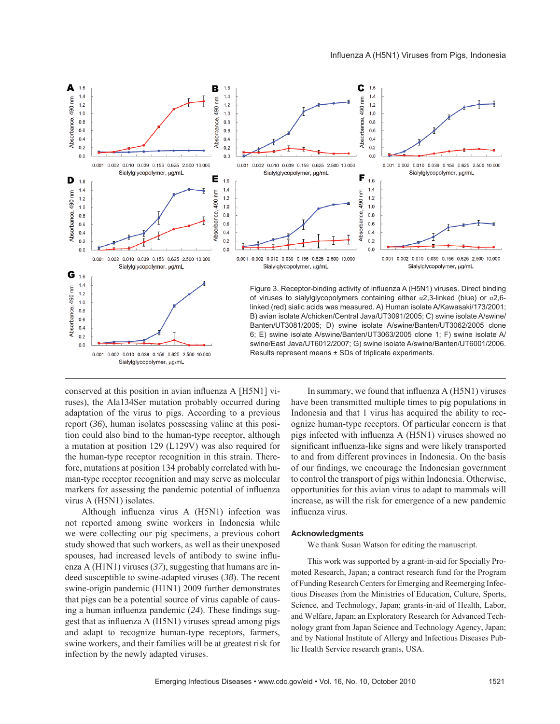

conserved at this position in avian influenza A [H5N1] viruses), the Ala134Ser mutation probably occurred during adaptation of the virus to pigs. According to a previous report (*36*), human isolates possessing valine at this position could also bind to the human-type receptor, although a mutation at position 129 (L129V) was also required for the human-type receptor recognition in this strain. Therefore, mutations at position 134 probably correlated with human-type receptor recognition and may serve as molecular markers for assessing the pandemic potential of influenza virus A (H5N1) isolates.

Although influenza virus A (H5N1) infection was not reported among swine workers in Indonesia while we were collecting our pig specimens, a previous cohort study showed that such workers, as well as their unexposed spouses, had increased levels of antibody to swine influenza A (H1N1) viruses (*37*), suggesting that humans are indeed susceptible to swine-adapted viruses (*38*). The recent swine-origin pandemic (H1N1) 2009 further demonstrates that pigs can be a potential source of virus capable of causing a human influenza pandemic (24). These findings suggest that as influenza A (H5N1) viruses spread among pigs and adapt to recognize human-type receptors, farmers, swine workers, and their families will be at greatest risk for infection by the newly adapted viruses.

In summary, we found that influenza A (H5N1) viruses have been transmitted multiple times to pig populations in Indonesia and that 1 virus has acquired the ability to recognize human-type receptors. Of particular concern is that pigs infected with influenza  $A$  (H5N1) viruses showed no significant influenza-like signs and were likely transported to and from different provinces in Indonesia. On the basis of our findings, we encourage the Indonesian government to control the transport of pigs within Indonesia. Otherwise, opportunities for this avian virus to adapt to mammals will increase, as will the risk for emergence of a new pandemic influenza virus.

#### **Acknowledgments**

We thank Susan Watson for editing the manuscript.

This work was supported by a grant-in-aid for Specially Promoted Research, Japan; a contract research fund for the Program of Funding Research Centers for Emerging and Reemerging Infectious Diseases from the Ministries of Education, Culture, Sports, Science, and Technology, Japan; grants-in-aid of Health, Labor, and Welfare, Japan; an Exploratory Research for Advanced Technology grant from Japan Science and Technology Agency, Japan; and by National Institute of Allergy and Infectious Diseases Public Health Service research grants, USA.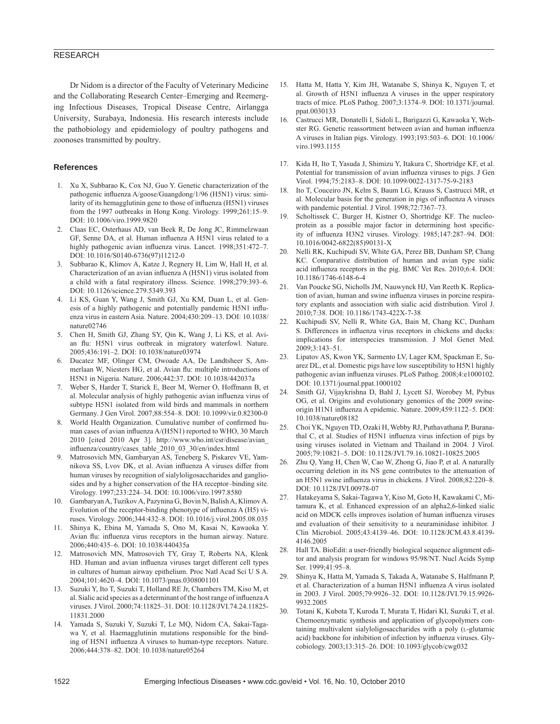## RESEARCH

Dr Nidom is a director of the Faculty of Veterinary Medicine and the Collaborating Research Center–Emerging and Reemerging Infectious Diseases, Tropical Disease Centre, Airlangga University, Surabaya, Indonesia. His research interests include the pathobiology and epidemiology of poultry pathogens and zoonoses transmitted by poultry.

#### **References**

- 1. Xu X, Subbarao K, Cox NJ, Guo Y. Genetic characterization of the pathogenic influenza A/goose/Guangdong/1/96 (H5N1) virus: similarity of its hemagglutinin gene to those of influenza (H5N1) viruses from the 1997 outbreaks in Hong Kong. Virology. 1999;261:15–9. DOI: 10.1006/viro.1999.9820
- 2. Claas EC, Osterhaus AD, van Beek R, De Jong JC, Rimmelzwaan GF, Senne DA, et al. Human influenza A H5N1 virus related to a highly pathogenic avian influenza virus. Lancet. 1998;351:472-7. DOI: 10.1016/S0140-6736(97)11212-0
- 3. Subbarao K, Klimov A, Katze J, Regnery H, Lim W, Hall H, et al. Characterization of an avian influenza A (H5N1) virus isolated from a child with a fatal respiratory illness. Science. 1998;279:393–6. DOI: 10.1126/science.279.5349.393
- 4. Li KS, Guan Y, Wang J, Smith GJ, Xu KM, Duan L, et al. Genesis of a highly pathogenic and potentially pandemic H5N1 influenza virus in eastern Asia. Nature. 2004;430:209–13. DOI: 10.1038/ nature02746
- 5. Chen H, Smith GJ, Zhang SY, Qin K, Wang J, Li KS, et al. Avian flu: H5N1 virus outbreak in migratory waterfowl. Nature. 2005;436:191–2. DOI: 10.1038/nature03974
- 6. Ducatez MF, Olinger CM, Owoade AA, De Landtsheer S, Ammerlaan W, Niesters HG, et al. Avian flu: multiple introductions of H5N1 in Nigeria. Nature. 2006;442:37. DOI: 10.1038/442037a
- 7. Weber S, Harder T, Starick E, Beer M, Werner O, Hoffmann B, et al. Molecular analysis of highly pathogenic avian influenza virus of subtype H5N1 isolated from wild birds and mammals in northern Germany. J Gen Virol. 2007;88:554–8. DOI: 10.1099/vir.0.82300-0
- World Health Organization. Cumulative number of confirmed human cases of avian influenza A/(H5N1) reported to WHO, 30 March 2010 [cited 2010 Apr 3]. http://www.who.int/csr/disease/avian\_ influenza/country/cases\_table\_2010\_03\_30/en/index.html
- 9. Matrosovich MN, Gambaryan AS, Teneberg S, Piskarev VE, Yamnikova SS, Lvov DK, et al. Avian influenza A viruses differ from human viruses by recognition of sialyloligosaccharides and gangliosides and by a higher conservation of the HA receptor–binding site. Virology. 1997;233:224–34. DOI: 10.1006/viro.1997.8580
- 10. Gambaryan A, Tuzikov A, Pazynina G, Bovin N, Balish A, Klimov A. Evolution of the receptor-binding phenotype of influenza A (H5) viruses. Virology. 2006;344:432–8. DOI: 10.1016/j.virol.2005.08.035
- 11. Shinya K, Ebina M, Yamada S, Ono M, Kasai N, Kawaoka Y. Avian flu: influenza virus receptors in the human airway. Nature. 2006;440:435–6. DOI: 10.1038/440435a
- 12. Matrosovich MN, Matrosovich TY, Gray T, Roberts NA, Klenk HD. Human and avian influenza viruses target different cell types in cultures of human airway epithelium. Proc Natl Acad Sci U S A. 2004;101:4620–4. DOI: 10.1073/pnas.0308001101
- 13. Suzuki Y, Ito T, Suzuki T, Holland RE Jr, Chambers TM, Kiso M, et al. Sialic acid species as a determinant of the host range of influenza A viruses. J Virol. 2000;74:11825–31. DOI: 10.1128/JVI.74.24.11825- 11831.2000
- 14. Yamada S, Suzuki Y, Suzuki T, Le MQ, Nidom CA, Sakai-Tagawa Y, et al. Haemagglutinin mutations responsible for the binding of H5N1 influenza A viruses to human-type receptors. Nature. 2006;444:378–82. DOI: 10.1038/nature05264
- 15. Hatta M, Hatta Y, Kim JH, Watanabe S, Shinya K, Nguyen T, et al. Growth of H5N1 influenza A viruses in the upper respiratory tracts of mice. PLoS Pathog. 2007;3:1374–9. DOI: 10.1371/journal. ppat.0030133
- 16. Castrucci MR, Donatelli I, Sidoli L, Barigazzi G, Kawaoka Y, Webster RG. Genetic reassortment between avian and human influenza A viruses in Italian pigs. Virology. 1993;193:503–6. DOI: 10.1006/ viro.1993.1155
- 17. Kida H, Ito T, Yasuda J, Shimizu Y, Itakura C, Shortridge KF, et al. Potential for transmission of avian influenza viruses to pigs. J Gen Virol. 1994;75:2183–8. DOI: 10.1099/0022-1317-75-9-2183
- 18. Ito T, Couceiro JN, Kelm S, Baum LG, Krauss S, Castrucci MR, et al. Molecular basis for the generation in pigs of influenza A viruses with pandemic potential. J Virol. 1998;72:7367–73.
- 19. Scholtissek C, Burger H, Kistner O, Shortridge KF. The nucleoprotein as a possible major factor in determining host specificity of influenza H3N2 viruses. Virology. 1985;147:287-94. DOI: 10.1016/0042-6822(85)90131-X
- 20. Nelli RK, Kuchipudi SV, White GA, Perez BB, Dunham SP, Chang KC. Comparative distribution of human and avian type sialic acid influenza receptors in the pig. BMC Vet Res. 2010;6:4. DOI: 10.1186/1746-6148-6-4
- 21. Van Poucke SG, Nicholls JM, Nauwynck HJ, Van Reeth K. Replication of avian, human and swine influenza viruses in porcine respiratory explants and association with sialic acid distribution. Virol J. 2010;7:38. DOI: 10.1186/1743-422X-7-38
- 22. Kuchipudi SV, Nelli R, White GA, Bain M, Chang KC, Dunham S. Differences in influenza virus receptors in chickens and ducks: implications for interspecies transmission. J Mol Genet Med. 2009;3:143–51.
- 23. Lipatov AS, Kwon YK, Sarmento LV, Lager KM, Spackman E, Suarez DL, et al. Domestic pigs have low susceptibility to H5N1 highly pathogenic avian influenza viruses. PLoS Pathog. 2008;4:e1000102. DOI: 10.1371/journal.ppat.1000102
- 24. Smith GJ, Vijaykrishna D, Bahl J, Lycett SJ, Worobey M, Pybus OG, et al. Origins and evolutionary genomics of the 2009 swineorigin H1N1 influenza A epidemic. Nature. 2009;459:1122-5. DOI: 10.1038/nature08182
- 25. Choi YK, Nguyen TD, Ozaki H, Webby RJ, Puthavathana P, Buranathal C, et al. Studies of H5N1 influenza virus infection of pigs by using viruses isolated in Vietnam and Thailand in 2004. J Virol. 2005;79:10821–5. DOI: 10.1128/JVI.79.16.10821-10825.2005
- 26. Zhu Q, Yang H, Chen W, Cao W, Zhong G, Jiao P, et al. A naturally occurring deletion in its NS gene contributes to the attenuation of an H5N1 swine influenza virus in chickens. J Virol. 2008;82:220-8. DOI: 10.1128/JVI.00978-07
- 27. Hatakeyama S, Sakai-Tagawa Y, Kiso M, Goto H, Kawakami C, Mitamura K, et al. Enhanced expression of an alpha2,6-linked sialic acid on MDCK cells improves isolation of human influenza viruses and evaluation of their sensitivity to a neuraminidase inhibitor. J Clin Microbiol. 2005;43:4139–46. DOI: 10.1128/JCM.43.8.4139- 4146.2005
- 28. Hall TA. BioEdit: a user-friendly biological sequence alignment editor and analysis program for windows 95/98/NT. Nucl Acids Symp Ser. 1999;41:95–8.
- 29. Shinya K, Hatta M, Yamada S, Takada A, Watanabe S, Halfmann P, et al. Characterization of a human H5N1 influenza A virus isolated in 2003. J Virol. 2005;79:9926–32. DOI: 10.1128/JVI.79.15.9926- 9932.2005
- 30. Totani K, Kubota T, Kuroda T, Murata T, Hidari KI, Suzuki T, et al. Chemoenzymatic synthesis and application of glycopolymers containing multivalent sialyloligosaccharides with a poly (L-glutamic acid) backbone for inhibition of infection by influenza viruses. Glycobiology. 2003;13:315–26. DOI: 10.1093/glycob/cwg032